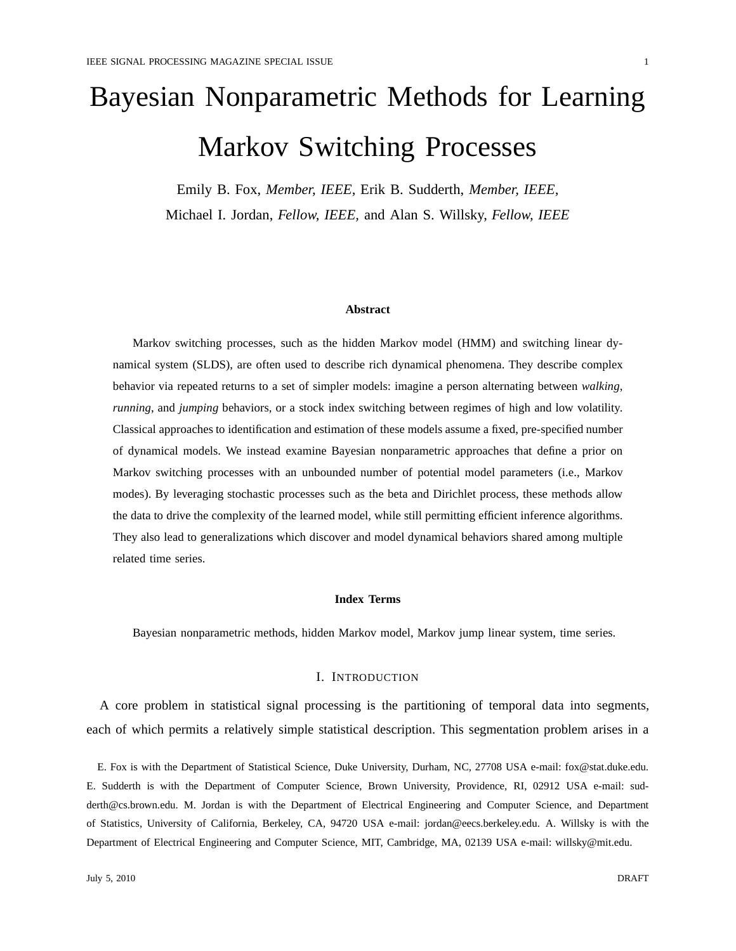# Bayesian Nonparametric Methods for Learning Markov Switching Processes

Emily B. Fox, *Member, IEEE,* Erik B. Sudderth, *Member, IEEE,* Michael I. Jordan, *Fellow, IEEE,* and Alan S. Willsky, *Fellow, IEEE*

## **Abstract**

Markov switching processes, such as the hidden Markov model (HMM) and switching linear dynamical system (SLDS), are often used to describe rich dynamical phenomena. They describe complex behavior via repeated returns to a set of simpler models: imagine a person alternating between *walking*, *running*, and *jumping* behaviors, or a stock index switching between regimes of high and low volatility. Classical approaches to identification and estimation of these models assume a fixed, pre-specified number of dynamical models. We instead examine Bayesian nonparametric approaches that define a prior on Markov switching processes with an unbounded number of potential model parameters (i.e., Markov modes). By leveraging stochastic processes such as the beta and Dirichlet process, these methods allow the data to drive the complexity of the learned model, while still permitting efficient inference algorithms. They also lead to generalizations which discover and model dynamical behaviors shared among multiple related time series.

## **Index Terms**

Bayesian nonparametric methods, hidden Markov model, Markov jump linear system, time series.

# I. INTRODUCTION

A core problem in statistical signal processing is the partitioning of temporal data into segments, each of which permits a relatively simple statistical description. This segmentation problem arises in a

E. Fox is with the Department of Statistical Science, Duke University, Durham, NC, 27708 USA e-mail: fox@stat.duke.edu. E. Sudderth is with the Department of Computer Science, Brown University, Providence, RI, 02912 USA e-mail: sudderth@cs.brown.edu. M. Jordan is with the Department of Electrical Engineering and Computer Science, and Department of Statistics, University of California, Berkeley, CA, 94720 USA e-mail: jordan@eecs.berkeley.edu. A. Willsky is with the Department of Electrical Engineering and Computer Science, MIT, Cambridge, MA, 02139 USA e-mail: willsky@mit.edu.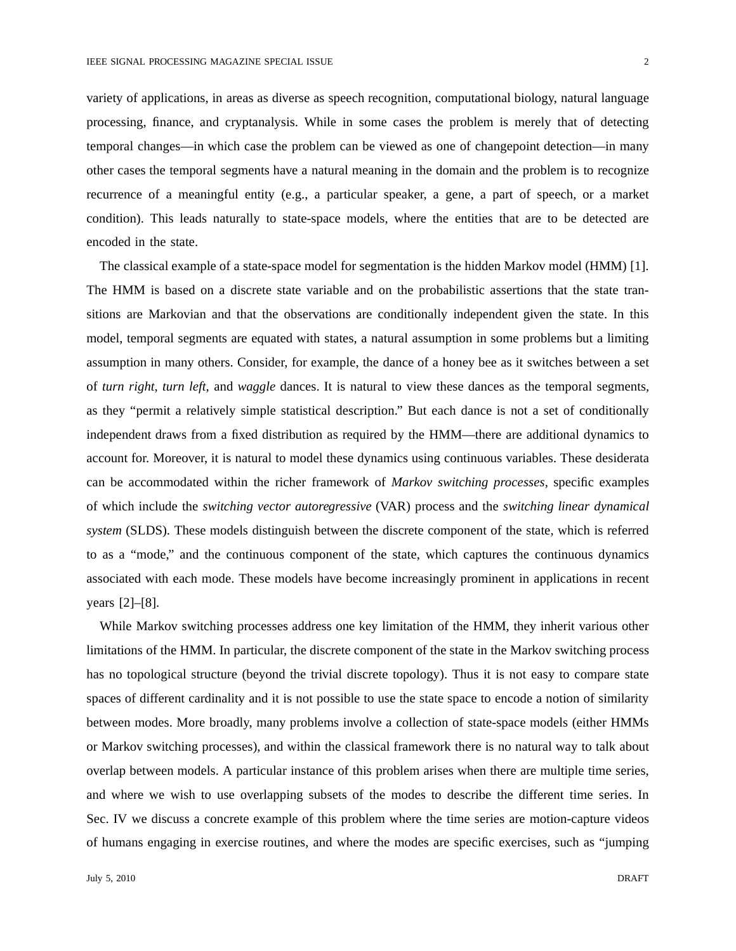variety of applications, in areas as diverse as speech recognition, computational biology, natural language processing, finance, and cryptanalysis. While in some cases the problem is merely that of detecting temporal changes—in which case the problem can be viewed as one of changepoint detection—in many other cases the temporal segments have a natural meaning in the domain and the problem is to recognize recurrence of a meaningful entity (e.g., a particular speaker, a gene, a part of speech, or a market condition). This leads naturally to state-space models, where the entities that are to be detected are encoded in the state.

The classical example of a state-space model for segmentation is the hidden Markov model (HMM) [1]. The HMM is based on a discrete state variable and on the probabilistic assertions that the state transitions are Markovian and that the observations are conditionally independent given the state. In this model, temporal segments are equated with states, a natural assumption in some problems but a limiting assumption in many others. Consider, for example, the dance of a honey bee as it switches between a set of *turn right*, *turn left*, and *waggle* dances. It is natural to view these dances as the temporal segments, as they "permit a relatively simple statistical description." But each dance is not a set of conditionally independent draws from a fixed distribution as required by the HMM—there are additional dynamics to account for. Moreover, it is natural to model these dynamics using continuous variables. These desiderata can be accommodated within the richer framework of *Markov switching processes*, specific examples of which include the *switching vector autoregressive* (VAR) process and the *switching linear dynamical system* (SLDS). These models distinguish between the discrete component of the state, which is referred to as a "mode," and the continuous component of the state, which captures the continuous dynamics associated with each mode. These models have become increasingly prominent in applications in recent years [2]–[8].

While Markov switching processes address one key limitation of the HMM, they inherit various other limitations of the HMM. In particular, the discrete component of the state in the Markov switching process has no topological structure (beyond the trivial discrete topology). Thus it is not easy to compare state spaces of different cardinality and it is not possible to use the state space to encode a notion of similarity between modes. More broadly, many problems involve a collection of state-space models (either HMMs or Markov switching processes), and within the classical framework there is no natural way to talk about overlap between models. A particular instance of this problem arises when there are multiple time series, and where we wish to use overlapping subsets of the modes to describe the different time series. In Sec. IV we discuss a concrete example of this problem where the time series are motion-capture videos of humans engaging in exercise routines, and where the modes are specific exercises, such as "jumping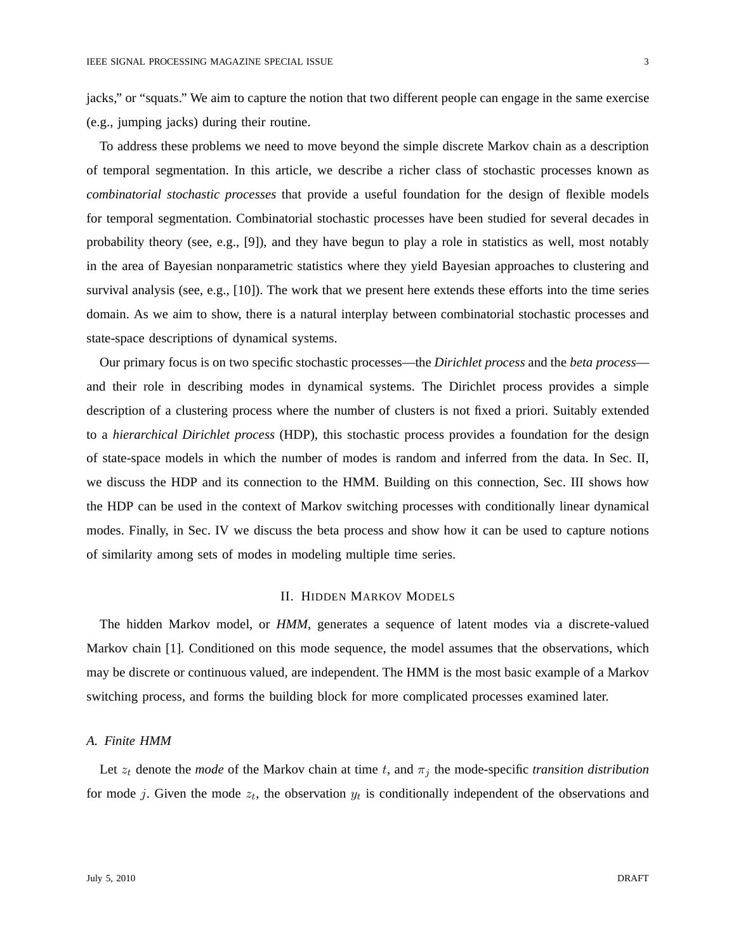jacks," or "squats." We aim to capture the notion that two different people can engage in the same exercise

(e.g., jumping jacks) during their routine.

To address these problems we need to move beyond the simple discrete Markov chain as a description of temporal segmentation. In this article, we describe a richer class of stochastic processes known as *combinatorial stochastic processes* that provide a useful foundation for the design of flexible models for temporal segmentation. Combinatorial stochastic processes have been studied for several decades in probability theory (see, e.g., [9]), and they have begun to play a role in statistics as well, most notably in the area of Bayesian nonparametric statistics where they yield Bayesian approaches to clustering and survival analysis (see, e.g., [10]). The work that we present here extends these efforts into the time series domain. As we aim to show, there is a natural interplay between combinatorial stochastic processes and state-space descriptions of dynamical systems.

Our primary focus is on two specific stochastic processes—the *Dirichlet process* and the *beta process* and their role in describing modes in dynamical systems. The Dirichlet process provides a simple description of a clustering process where the number of clusters is not fixed a priori. Suitably extended to a *hierarchical Dirichlet process* (HDP), this stochastic process provides a foundation for the design of state-space models in which the number of modes is random and inferred from the data. In Sec. II, we discuss the HDP and its connection to the HMM. Building on this connection, Sec. III shows how the HDP can be used in the context of Markov switching processes with conditionally linear dynamical modes. Finally, in Sec. IV we discuss the beta process and show how it can be used to capture notions of similarity among sets of modes in modeling multiple time series.

# II. HIDDEN MARKOV MODELS

The hidden Markov model, or *HMM*, generates a sequence of latent modes via a discrete-valued Markov chain [1]. Conditioned on this mode sequence, the model assumes that the observations, which may be discrete or continuous valued, are independent. The HMM is the most basic example of a Markov switching process, and forms the building block for more complicated processes examined later.

# *A. Finite HMM*

Let  $z_t$  denote the *mode* of the Markov chain at time t, and  $\pi_j$  the mode-specific *transition distribution* for mode j. Given the mode  $z_t$ , the observation  $y_t$  is conditionally independent of the observations and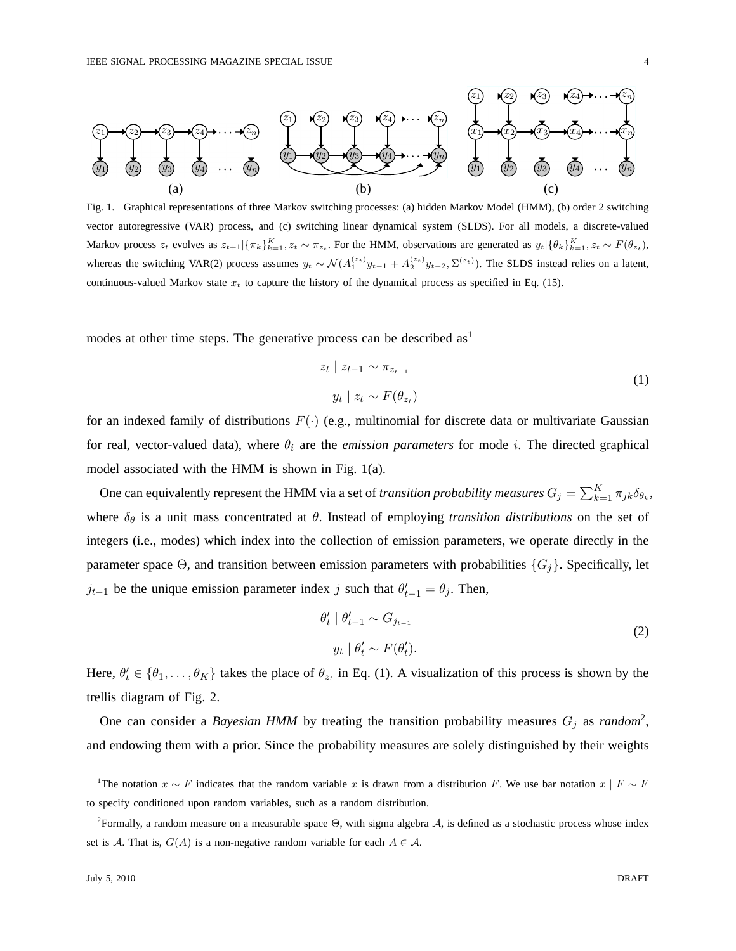

Fig. 1. Graphical representations of three Markov switching processes: (a) hidden Markov Model (HMM), (b) order 2 switching vector autoregressive (VAR) process, and (c) switching linear dynamical system (SLDS). For all models, a discrete-valued Markov process  $z_t$  evolves as  $z_{t+1}|\{\pi_k\}_{k=1}^K$ ,  $z_t \sim \pi_{z_t}$ . For the HMM, observations are generated as  $y_t|\{\theta_k\}_{k=1}^K$ ,  $z_t \sim F(\theta_{z_t})$ , whereas the switching VAR(2) process assumes  $y_t \sim \mathcal{N}(A_1^{(z_t)}y_{t-1} + A_2^{(z_t)}y_{t-2}, \Sigma^{(z_t)})$ . The SLDS instead relies on a latent, continuous-valued Markov state  $x_t$  to capture the history of the dynamical process as specified in Eq. (15).

modes at other time steps. The generative process can be described  $as<sup>1</sup>$ 

$$
z_t \mid z_{t-1} \sim \pi_{z_{t-1}}
$$
  
\n
$$
y_t \mid z_t \sim F(\theta_{z_t})
$$
\n(1)

for an indexed family of distributions  $F(\cdot)$  (e.g., multinomial for discrete data or multivariate Gaussian for real, vector-valued data), where  $\theta_i$  are the *emission parameters* for mode i. The directed graphical model associated with the HMM is shown in Fig. 1(a).

One can equivalently represent the HMM via a set of *transition probability measures*  $G_j = \sum_{k=1}^K \pi_{jk} \delta_{\theta_k}$ , where  $\delta_{\theta}$  is a unit mass concentrated at  $\theta$ . Instead of employing *transition distributions* on the set of integers (i.e., modes) which index into the collection of emission parameters, we operate directly in the parameter space  $\Theta$ , and transition between emission parameters with probabilities  $\{G_i\}$ . Specifically, let  $j_{t-1}$  be the unique emission parameter index j such that  $\theta'_{t-1} = \theta_j$ . Then,

$$
\theta'_{t} \mid \theta'_{t-1} \sim G_{j_{t-1}}
$$
\n
$$
y_{t} \mid \theta'_{t} \sim F(\theta'_{t}).
$$
\n(2)

Here,  $\theta'_t \in \{\theta_1,\ldots,\theta_K\}$  takes the place of  $\theta_{z_t}$  in Eq. (1). A visualization of this process is shown by the trellis diagram of Fig. 2.

One can consider a *Bayesian HMM* by treating the transition probability measures  $G_j$  as *random*<sup>2</sup>, and endowing them with a prior. Since the probability measures are solely distinguished by their weights

<sup>&</sup>lt;sup>1</sup>The notation  $x \sim F$  indicates that the random variable x is drawn from a distribution F. We use bar notation  $x \mid F \sim F$ to specify conditioned upon random variables, such as a random distribution.

<sup>&</sup>lt;sup>2</sup>Formally, a random measure on a measurable space  $\Theta$ , with sigma algebra  $\mathcal{A}$ , is defined as a stochastic process whose index set is A. That is,  $G(A)$  is a non-negative random variable for each  $A \in \mathcal{A}$ .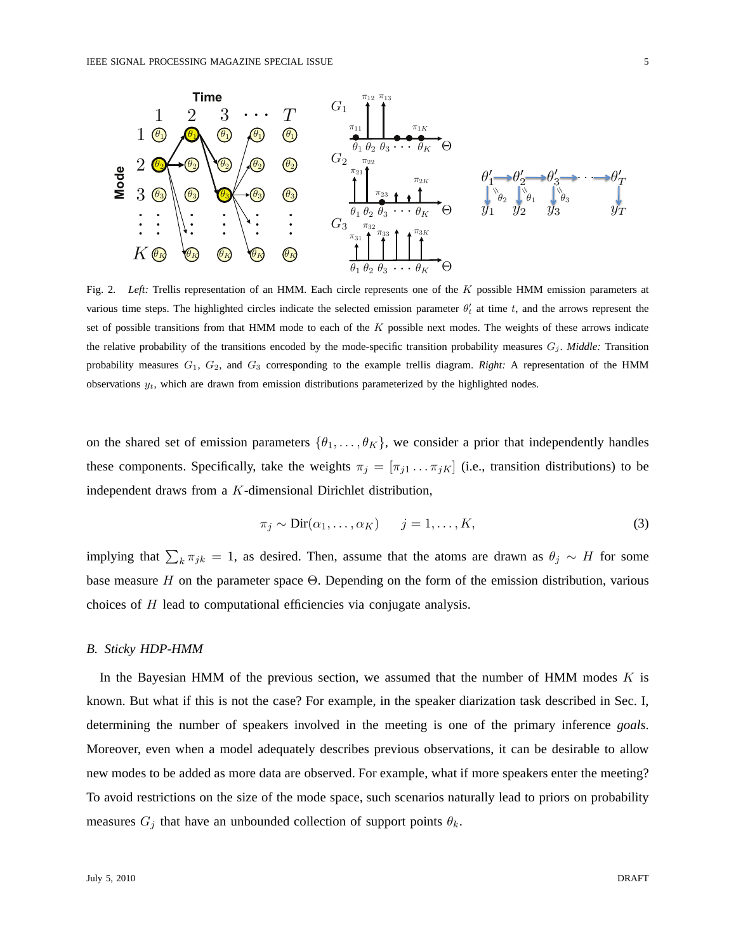

Fig. 2. *Left:* Trellis representation of an HMM. Each circle represents one of the K possible HMM emission parameters at various time steps. The highlighted circles indicate the selected emission parameter  $\theta'_t$  at time t, and the arrows represent the set of possible transitions from that HMM mode to each of the  $K$  possible next modes. The weights of these arrows indicate the relative probability of the transitions encoded by the mode-specific transition probability measures  $G_j$ . *Middle:* Transition probability measures G1, G2, and G<sup>3</sup> corresponding to the example trellis diagram. *Right:* A representation of the HMM observations  $y_t$ , which are drawn from emission distributions parameterized by the highlighted nodes.

on the shared set of emission parameters  $\{\theta_1, \ldots, \theta_K\}$ , we consider a prior that independently handles these components. Specifically, take the weights  $\pi_j = [\pi_{j1} \dots \pi_{jK}]$  (i.e., transition distributions) to be independent draws from a K-dimensional Dirichlet distribution,

$$
\pi_j \sim \text{Dir}(\alpha_1, \dots, \alpha_K) \qquad j = 1, \dots, K,\tag{3}
$$

implying that  $\sum_{k} \pi_{jk} = 1$ , as desired. Then, assume that the atoms are drawn as  $\theta_j \sim H$  for some base measure  $H$  on the parameter space  $\Theta$ . Depending on the form of the emission distribution, various choices of H lead to computational efficiencies via conjugate analysis.

## *B. Sticky HDP-HMM*

In the Bayesian HMM of the previous section, we assumed that the number of HMM modes  $K$  is known. But what if this is not the case? For example, in the speaker diarization task described in Sec. I, determining the number of speakers involved in the meeting is one of the primary inference *goals*. Moreover, even when a model adequately describes previous observations, it can be desirable to allow new modes to be added as more data are observed. For example, what if more speakers enter the meeting? To avoid restrictions on the size of the mode space, such scenarios naturally lead to priors on probability measures  $G_j$  that have an unbounded collection of support points  $\theta_k$ .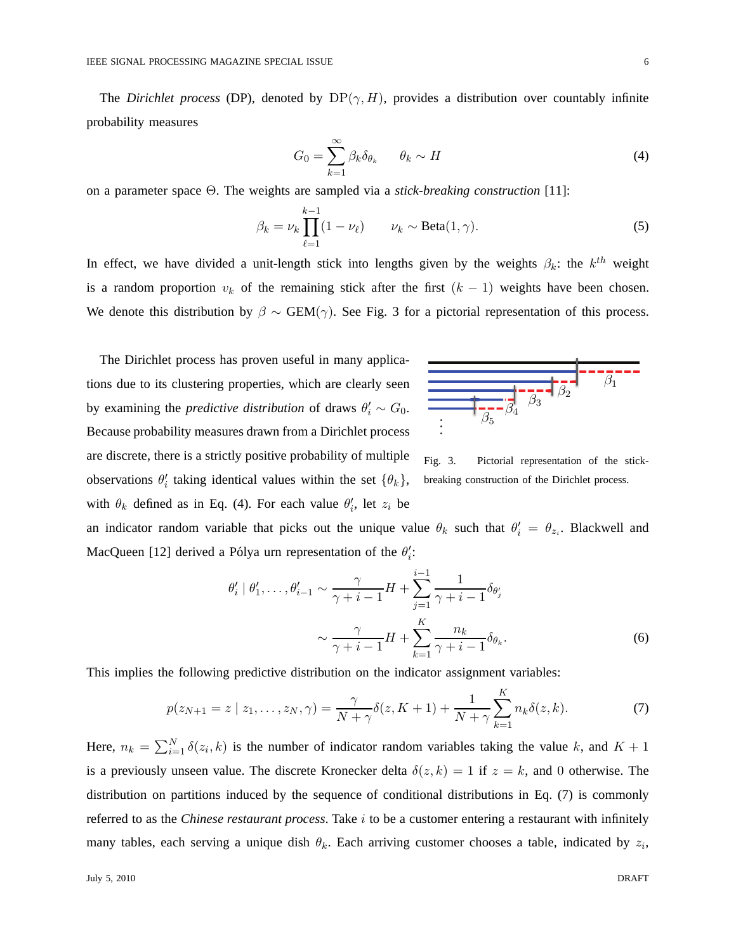The *Dirichlet process* (DP), denoted by  $DP(\gamma, H)$ , provides a distribution over countably infinite probability measures

$$
G_0 = \sum_{k=1}^{\infty} \beta_k \delta_{\theta_k} \qquad \theta_k \sim H \tag{4}
$$

on a parameter space Θ. The weights are sampled via a *stick-breaking construction* [11]:

$$
\beta_k = \nu_k \prod_{\ell=1}^{k-1} (1 - \nu_\ell) \qquad \nu_k \sim \text{Beta}(1, \gamma). \tag{5}
$$

In effect, we have divided a unit-length stick into lengths given by the weights  $\beta_k$ : the  $k^{th}$  weight is a random proportion  $v_k$  of the remaining stick after the first  $(k - 1)$  weights have been chosen. We denote this distribution by  $\beta \sim \text{GEM}(\gamma)$ . See Fig. 3 for a pictorial representation of this process.

The Dirichlet process has proven useful in many applications due to its clustering properties, which are clearly seen by examining the *predictive distribution* of draws  $\theta'_i \sim G_0$ . Because probability measures drawn from a Dirichlet process are discrete, there is a strictly positive probability of multiple observations  $\theta'_i$  taking identical values within the set  $\{\theta_k\}$ , with  $\theta_k$  defined as in Eq. (4). For each value  $\theta'_i$ , let  $z_i$  be



Fig. 3. Pictorial representation of the stickbreaking construction of the Dirichlet process.

an indicator random variable that picks out the unique value  $\theta_k$  such that  $\theta'_i = \theta_{z_i}$ . Blackwell and MacQueen [12] derived a Pólya urn representation of the  $\theta_i'$ :

$$
\theta'_{i} \mid \theta'_{1}, \dots, \theta'_{i-1} \sim \frac{\gamma}{\gamma + i - 1} H + \sum_{j=1}^{i-1} \frac{1}{\gamma + i - 1} \delta_{\theta'_{j}}
$$

$$
\sim \frac{\gamma}{\gamma + i - 1} H + \sum_{k=1}^{K} \frac{n_{k}}{\gamma + i - 1} \delta_{\theta_{k}}.
$$
(6)

This implies the following predictive distribution on the indicator assignment variables:

$$
p(z_{N+1} = z \mid z_1, \dots, z_N, \gamma) = \frac{\gamma}{N + \gamma} \delta(z, K + 1) + \frac{1}{N + \gamma} \sum_{k=1}^{K} n_k \delta(z, k).
$$
 (7)

Here,  $n_k = \sum_{i=1}^{N} \delta(z_i, k)$  is the number of indicator random variables taking the value k, and  $K + 1$ is a previously unseen value. The discrete Kronecker delta  $\delta(z, k) = 1$  if  $z = k$ , and 0 otherwise. The distribution on partitions induced by the sequence of conditional distributions in Eq. (7) is commonly referred to as the *Chinese restaurant process*. Take i to be a customer entering a restaurant with infinitely many tables, each serving a unique dish  $\theta_k$ . Each arriving customer chooses a table, indicated by  $z_i$ ,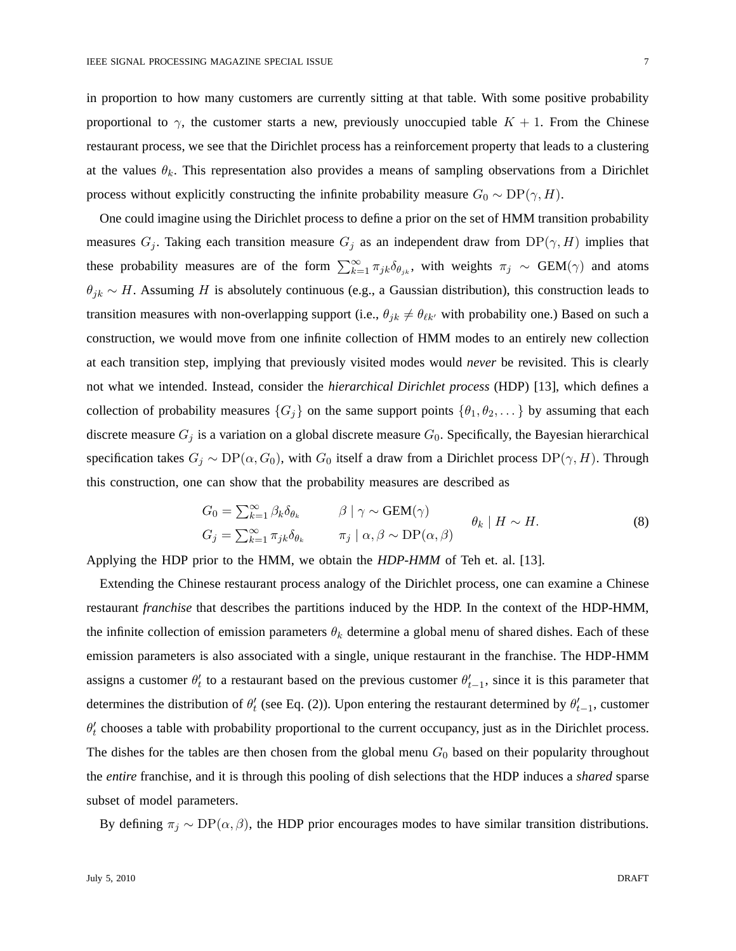in proportion to how many customers are currently sitting at that table. With some positive probability proportional to  $\gamma$ , the customer starts a new, previously unoccupied table  $K + 1$ . From the Chinese restaurant process, we see that the Dirichlet process has a reinforcement property that leads to a clustering at the values  $\theta_k$ . This representation also provides a means of sampling observations from a Dirichlet process without explicitly constructing the infinite probability measure  $G_0 \sim DP(\gamma, H)$ .

One could imagine using the Dirichlet process to define a prior on the set of HMM transition probability measures  $G_i$ . Taking each transition measure  $G_i$  as an independent draw from  $DP(\gamma, H)$  implies that these probability measures are of the form  $\sum_{k=1}^{\infty} \pi_{jk} \delta_{\theta_{jk}}$ , with weights  $\pi_j \sim \text{GEM}(\gamma)$  and atoms  $\theta_{jk} \sim H$ . Assuming H is absolutely continuous (e.g., a Gaussian distribution), this construction leads to transition measures with non-overlapping support (i.e.,  $\theta_{jk} \neq \theta_{\ell k'}$  with probability one.) Based on such a construction, we would move from one infinite collection of HMM modes to an entirely new collection at each transition step, implying that previously visited modes would *never* be revisited. This is clearly not what we intended. Instead, consider the *hierarchical Dirichlet process* (HDP) [13], which defines a collection of probability measures  $\{G_i\}$  on the same support points  $\{\theta_1, \theta_2, \dots\}$  by assuming that each discrete measure  $G_j$  is a variation on a global discrete measure  $G_0$ . Specifically, the Bayesian hierarchical specification takes  $G_j \sim DP(\alpha, G_0)$ , with  $G_0$  itself a draw from a Dirichlet process  $DP(\gamma, H)$ . Through this construction, one can show that the probability measures are described as

$$
G_0 = \sum_{k=1}^{\infty} \beta_k \delta_{\theta_k} \qquad \beta \mid \gamma \sim \text{GEM}(\gamma) \qquad \theta_k \mid H \sim H.
$$
  
\n
$$
G_j = \sum_{k=1}^{\infty} \pi_{jk} \delta_{\theta_k} \qquad \pi_j \mid \alpha, \beta \sim \text{DP}(\alpha, \beta) \qquad \theta_k \mid H \sim H.
$$
 (8)

Applying the HDP prior to the HMM, we obtain the *HDP-HMM* of Teh et. al. [13].

Extending the Chinese restaurant process analogy of the Dirichlet process, one can examine a Chinese restaurant *franchise* that describes the partitions induced by the HDP. In the context of the HDP-HMM, the infinite collection of emission parameters  $\theta_k$  determine a global menu of shared dishes. Each of these emission parameters is also associated with a single, unique restaurant in the franchise. The HDP-HMM assigns a customer  $\theta'_t$  to a restaurant based on the previous customer  $\theta'_{t-1}$ , since it is this parameter that determines the distribution of  $\theta'_t$  (see Eq. (2)). Upon entering the restaurant determined by  $\theta'_{t-1}$ , customer  $\theta'_t$  chooses a table with probability proportional to the current occupancy, just as in the Dirichlet process. The dishes for the tables are then chosen from the global menu  $G_0$  based on their popularity throughout the *entire* franchise, and it is through this pooling of dish selections that the HDP induces a *shared* sparse subset of model parameters.

By defining  $\pi_j \sim DP(\alpha, \beta)$ , the HDP prior encourages modes to have similar transition distributions.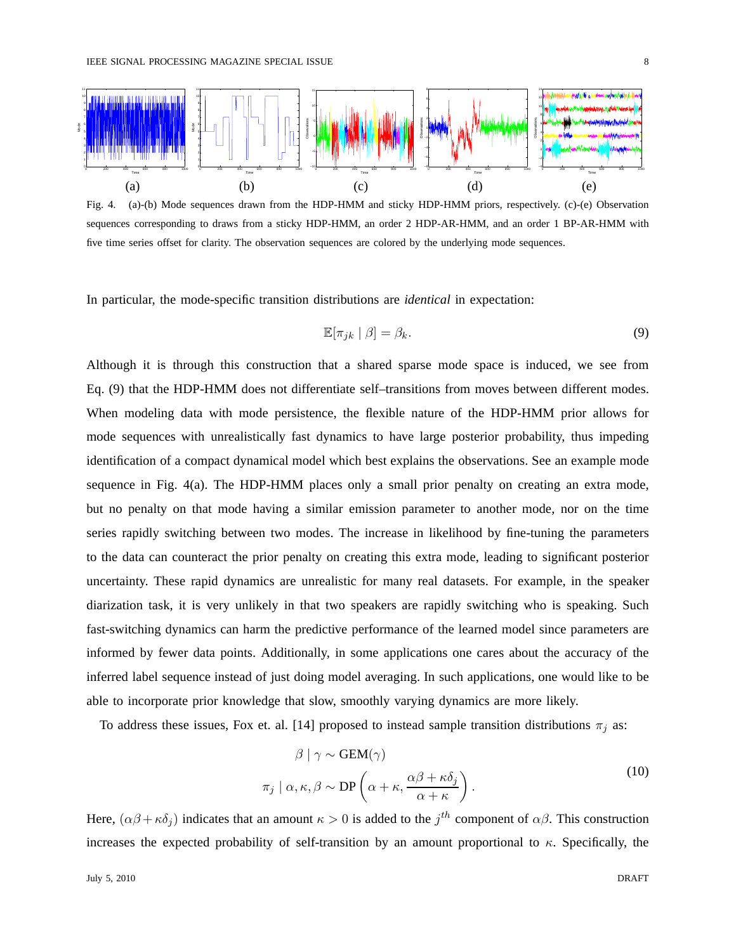

Fig. 4. (a)-(b) Mode sequences drawn from the HDP-HMM and sticky HDP-HMM priors, respectively. (c)-(e) Observation sequences corresponding to draws from a sticky HDP-HMM, an order 2 HDP-AR-HMM, and an order 1 BP-AR-HMM with five time series offset for clarity. The observation sequences are colored by the underlying mode sequences.

In particular, the mode-specific transition distributions are *identical* in expectation:

$$
\mathbb{E}[\pi_{jk} \mid \beta] = \beta_k. \tag{9}
$$

Although it is through this construction that a shared sparse mode space is induced, we see from Eq. (9) that the HDP-HMM does not differentiate self–transitions from moves between different modes. When modeling data with mode persistence, the flexible nature of the HDP-HMM prior allows for mode sequences with unrealistically fast dynamics to have large posterior probability, thus impeding identification of a compact dynamical model which best explains the observations. See an example mode sequence in Fig. 4(a). The HDP-HMM places only a small prior penalty on creating an extra mode, but no penalty on that mode having a similar emission parameter to another mode, nor on the time series rapidly switching between two modes. The increase in likelihood by fine-tuning the parameters to the data can counteract the prior penalty on creating this extra mode, leading to significant posterior uncertainty. These rapid dynamics are unrealistic for many real datasets. For example, in the speaker diarization task, it is very unlikely in that two speakers are rapidly switching who is speaking. Such fast-switching dynamics can harm the predictive performance of the learned model since parameters are informed by fewer data points. Additionally, in some applications one cares about the accuracy of the inferred label sequence instead of just doing model averaging. In such applications, one would like to be able to incorporate prior knowledge that slow, smoothly varying dynamics are more likely.

To address these issues, Fox et. al. [14] proposed to instead sample transition distributions  $\pi_j$  as:

$$
\beta | \gamma \sim \text{GEM}(\gamma)
$$
  

$$
\pi_j | \alpha, \kappa, \beta \sim \text{DP}\left(\alpha + \kappa, \frac{\alpha \beta + \kappa \delta_j}{\alpha + \kappa}\right).
$$
 (10)

Here,  $(\alpha\beta + \kappa\delta_j)$  indicates that an amount  $\kappa > 0$  is added to the  $j^{th}$  component of  $\alpha\beta$ . This construction increases the expected probability of self-transition by an amount proportional to  $\kappa$ . Specifically, the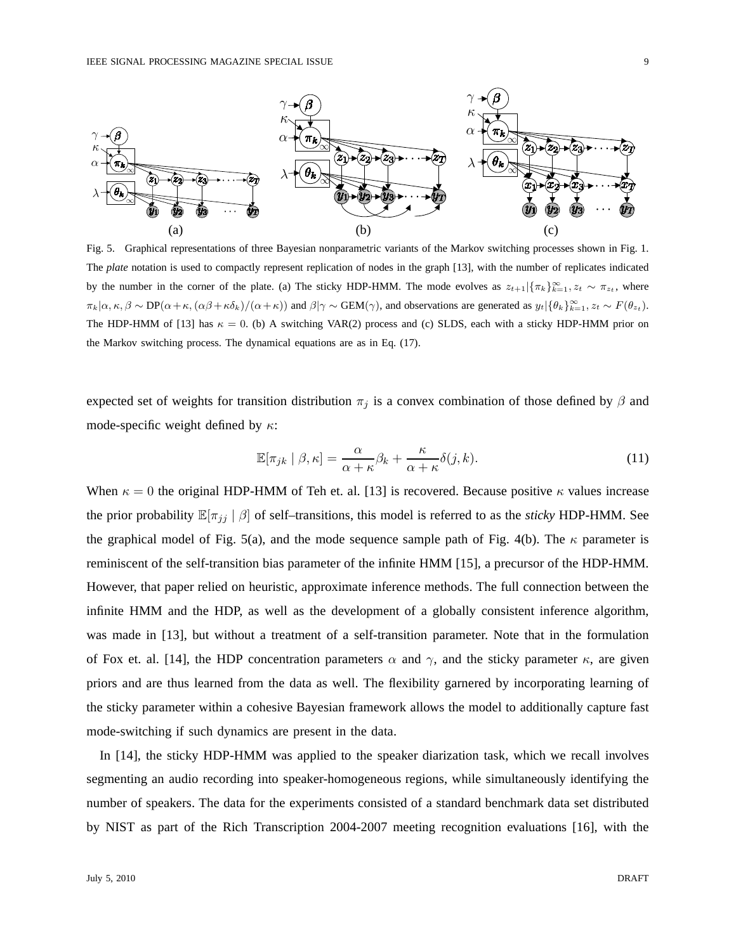

Fig. 5. Graphical representations of three Bayesian nonparametric variants of the Markov switching processes shown in Fig. 1. The *plate* notation is used to compactly represent replication of nodes in the graph [13], with the number of replicates indicated by the number in the corner of the plate. (a) The sticky HDP-HMM. The mode evolves as  $z_{t+1}|\{\pi_k\}_{k=1}^{\infty}, z_t \sim \pi_{z_t}$ , where  $\pi_k|\alpha,\kappa,\beta \sim \text{DP}(\alpha+\kappa, (\alpha\beta+\kappa\delta_k)/(\alpha+\kappa))$  and  $\beta|\gamma \sim \text{GEM}(\gamma)$ , and observations are generated as  $y_t|\{\theta_k\}_{k=1}^{\infty}$ ,  $z_t \sim F(\theta_{z_t})$ . The HDP-HMM of [13] has  $\kappa = 0$ . (b) A switching VAR(2) process and (c) SLDS, each with a sticky HDP-HMM prior on the Markov switching process. The dynamical equations are as in Eq. (17).

expected set of weights for transition distribution  $\pi_j$  is a convex combination of those defined by  $\beta$  and mode-specific weight defined by  $\kappa$ :

$$
\mathbb{E}[\pi_{jk} \mid \beta, \kappa] = \frac{\alpha}{\alpha + \kappa} \beta_k + \frac{\kappa}{\alpha + \kappa} \delta(j, k). \tag{11}
$$

When  $\kappa = 0$  the original HDP-HMM of Teh et. al. [13] is recovered. Because positive  $\kappa$  values increase the prior probability  $\mathbb{E}[\pi_{ij} | \beta]$  of self-transitions, this model is referred to as the *sticky* HDP-HMM. See the graphical model of Fig. 5(a), and the mode sequence sample path of Fig. 4(b). The  $\kappa$  parameter is reminiscent of the self-transition bias parameter of the infinite HMM [15], a precursor of the HDP-HMM. However, that paper relied on heuristic, approximate inference methods. The full connection between the infinite HMM and the HDP, as well as the development of a globally consistent inference algorithm, was made in [13], but without a treatment of a self-transition parameter. Note that in the formulation of Fox et. al. [14], the HDP concentration parameters  $\alpha$  and  $\gamma$ , and the sticky parameter  $\kappa$ , are given priors and are thus learned from the data as well. The flexibility garnered by incorporating learning of the sticky parameter within a cohesive Bayesian framework allows the model to additionally capture fast mode-switching if such dynamics are present in the data.

In [14], the sticky HDP-HMM was applied to the speaker diarization task, which we recall involves segmenting an audio recording into speaker-homogeneous regions, while simultaneously identifying the number of speakers. The data for the experiments consisted of a standard benchmark data set distributed by NIST as part of the Rich Transcription 2004-2007 meeting recognition evaluations [16], with the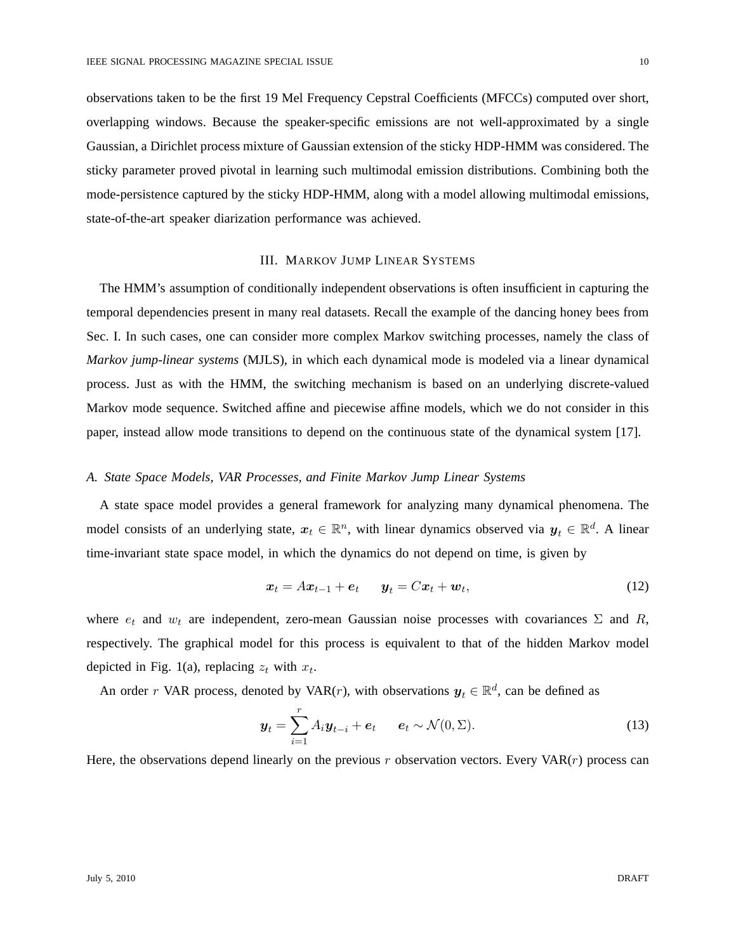observations taken to be the first 19 Mel Frequency Cepstral Coefficients (MFCCs) computed over short, overlapping windows. Because the speaker-specific emissions are not well-approximated by a single Gaussian, a Dirichlet process mixture of Gaussian extension of the sticky HDP-HMM was considered. The sticky parameter proved pivotal in learning such multimodal emission distributions. Combining both the mode-persistence captured by the sticky HDP-HMM, along with a model allowing multimodal emissions, state-of-the-art speaker diarization performance was achieved.

# III. MARKOV JUMP LINEAR SYSTEMS

The HMM's assumption of conditionally independent observations is often insufficient in capturing the temporal dependencies present in many real datasets. Recall the example of the dancing honey bees from Sec. I. In such cases, one can consider more complex Markov switching processes, namely the class of *Markov jump-linear systems* (MJLS), in which each dynamical mode is modeled via a linear dynamical process. Just as with the HMM, the switching mechanism is based on an underlying discrete-valued Markov mode sequence. Switched affine and piecewise affine models, which we do not consider in this paper, instead allow mode transitions to depend on the continuous state of the dynamical system [17].

# *A. State Space Models, VAR Processes, and Finite Markov Jump Linear Systems*

A state space model provides a general framework for analyzing many dynamical phenomena. The model consists of an underlying state,  $x_t \in \mathbb{R}^n$ , with linear dynamics observed via  $y_t \in \mathbb{R}^d$ . A linear time-invariant state space model, in which the dynamics do not depend on time, is given by

$$
\boldsymbol{x}_t = A\boldsymbol{x}_{t-1} + \boldsymbol{e}_t \qquad \boldsymbol{y}_t = C\boldsymbol{x}_t + \boldsymbol{w}_t,\tag{12}
$$

where  $e_t$  and  $w_t$  are independent, zero-mean Gaussian noise processes with covariances  $\Sigma$  and  $R$ , respectively. The graphical model for this process is equivalent to that of the hidden Markov model depicted in Fig. 1(a), replacing  $z_t$  with  $x_t$ .

An order r VAR process, denoted by VAR(r), with observations  $y_t \in \mathbb{R}^d$ , can be defined as

$$
\boldsymbol{y}_t = \sum_{i=1}^r A_i \boldsymbol{y}_{t-i} + \boldsymbol{e}_t \qquad \boldsymbol{e}_t \sim \mathcal{N}(0, \boldsymbol{\Sigma}). \tag{13}
$$

Here, the observations depend linearly on the previous r observation vectors. Every  $VAR(r)$  process can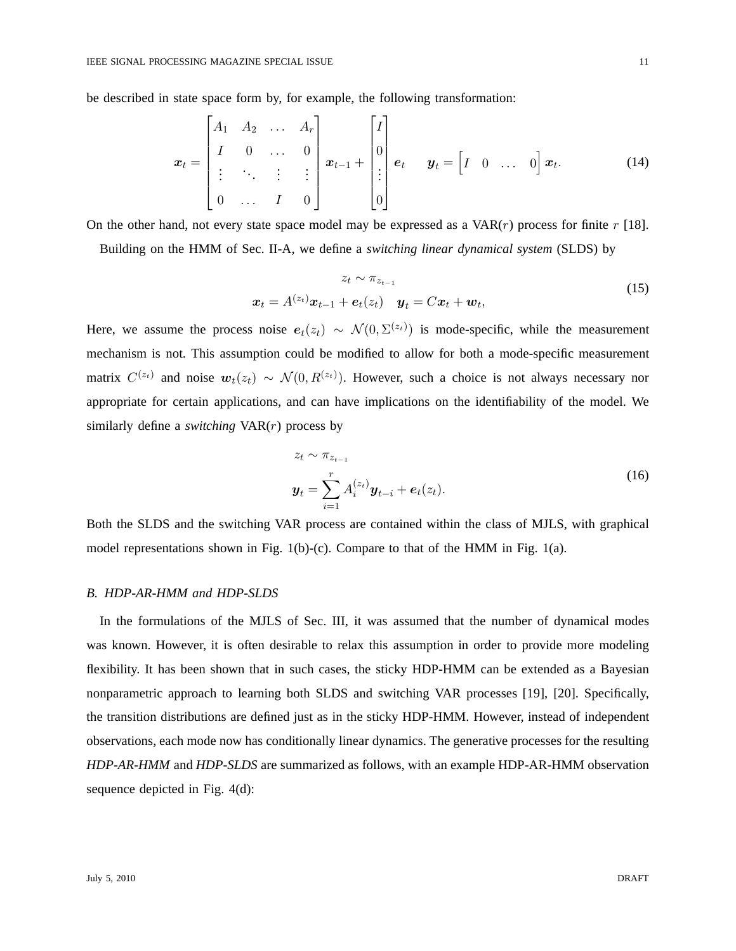be described in state space form by, for example, the following transformation:

$$
\boldsymbol{x}_t = \begin{bmatrix} A_1 & A_2 & \dots & A_r \\ I & 0 & \dots & 0 \\ \vdots & \ddots & \vdots & \vdots \\ 0 & \dots & I & 0 \end{bmatrix} \boldsymbol{x}_{t-1} + \begin{bmatrix} I \\ 0 \\ \vdots \\ 0 \end{bmatrix} \boldsymbol{e}_t \quad \boldsymbol{y}_t = \begin{bmatrix} I & 0 & \dots & 0 \end{bmatrix} \boldsymbol{x}_t.
$$
 (14)

On the other hand, not every state space model may be expressed as a  $VAR(r)$  process for finite r [18].

Building on the HMM of Sec. II-A, we define a *switching linear dynamical system* (SLDS) by

$$
z_t \sim \pi_{z_{t-1}}
$$
  

$$
\boldsymbol{x}_t = A^{(z_t)} \boldsymbol{x}_{t-1} + \boldsymbol{e}_t(z_t) \quad \boldsymbol{y}_t = C \boldsymbol{x}_t + \boldsymbol{w}_t,
$$
 (15)

Here, we assume the process noise  $e_t(z_t) \sim \mathcal{N}(0, \Sigma^{(z_t)})$  is mode-specific, while the measurement mechanism is not. This assumption could be modified to allow for both a mode-specific measurement matrix  $C^{(z_t)}$  and noise  $w_t(z_t) \sim \mathcal{N}(0, R^{(z_t)})$ . However, such a choice is not always necessary nor appropriate for certain applications, and can have implications on the identifiability of the model. We similarly define a *switching* VAR(r) process by

$$
z_t \sim \pi_{z_{t-1}}
$$
  

$$
\mathbf{y}_t = \sum_{i=1}^r A_i^{(z_t)} \mathbf{y}_{t-i} + \mathbf{e}_t(z_t).
$$
 (16)

Both the SLDS and the switching VAR process are contained within the class of MJLS, with graphical model representations shown in Fig.  $1(b)-(c)$ . Compare to that of the HMM in Fig.  $1(a)$ .

# *B. HDP-AR-HMM and HDP-SLDS*

In the formulations of the MJLS of Sec. III, it was assumed that the number of dynamical modes was known. However, it is often desirable to relax this assumption in order to provide more modeling flexibility. It has been shown that in such cases, the sticky HDP-HMM can be extended as a Bayesian nonparametric approach to learning both SLDS and switching VAR processes [19], [20]. Specifically, the transition distributions are defined just as in the sticky HDP-HMM. However, instead of independent observations, each mode now has conditionally linear dynamics. The generative processes for the resulting *HDP-AR-HMM* and *HDP-SLDS* are summarized as follows, with an example HDP-AR-HMM observation sequence depicted in Fig. 4(d):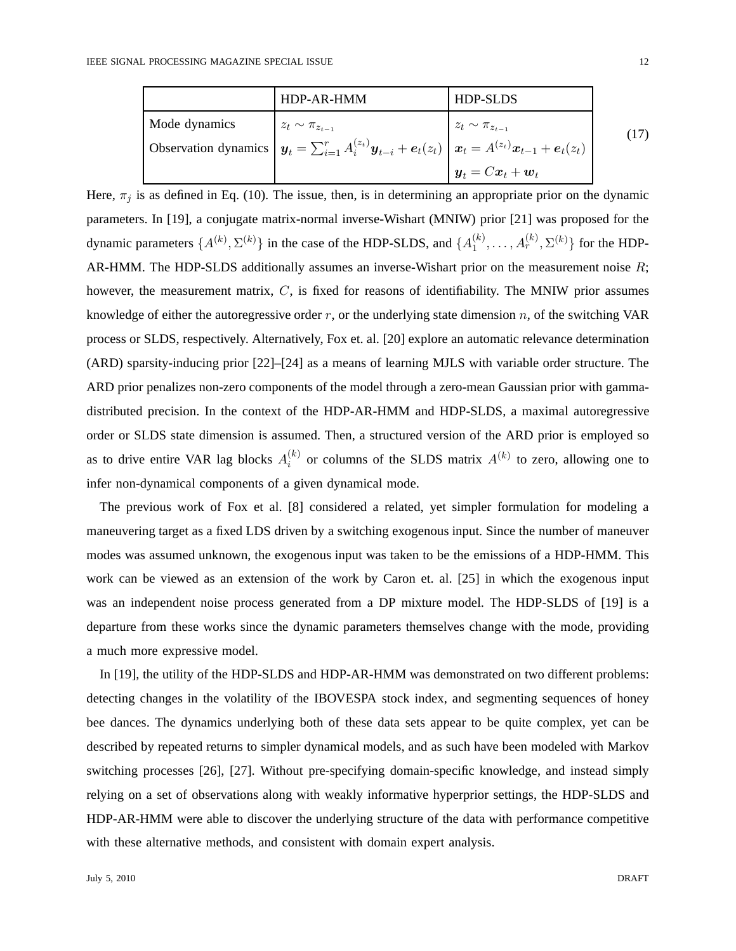|               | HDP-AR-HMM                                                                                                      | <b>HDP-SLDS</b>                                              |      |
|---------------|-----------------------------------------------------------------------------------------------------------------|--------------------------------------------------------------|------|
| Mode dynamics | $z_t \sim \pi_{z_{t-1}}$                                                                                        | $z_t \sim \pi_{z_{t-1}}$                                     | (17) |
|               | Observation dynamics $y_t = \sum_{i=1}^r A_i^{(z_t)} y_{t-i} + e_t(z_t)   x_t = A^{(z_t)} x_{t-1} + e_t(z_t)  $ |                                                              |      |
|               |                                                                                                                 | l $\boldsymbol{y}_t = C \boldsymbol{x}_t + \boldsymbol{w}_t$ |      |

Here,  $\pi_j$  is as defined in Eq. (10). The issue, then, is in determining an appropriate prior on the dynamic parameters. In [19], a conjugate matrix-normal inverse-Wishart (MNIW) prior [21] was proposed for the dynamic parameters  $\{A^{(k)}, \Sigma^{(k)}\}$  in the case of the HDP-SLDS, and  $\{A_1^{(k)}\}$  $\{A_1^{(k)}, \ldots, A_r^{(k)}, \Sigma^{(k)}\}$  for the HDP-AR-HMM. The HDP-SLDS additionally assumes an inverse-Wishart prior on the measurement noise  $R$ ; however, the measurement matrix,  $C$ , is fixed for reasons of identifiability. The MNIW prior assumes knowledge of either the autoregressive order  $r$ , or the underlying state dimension  $n$ , of the switching VAR process or SLDS, respectively. Alternatively, Fox et. al. [20] explore an automatic relevance determination (ARD) sparsity-inducing prior [22]–[24] as a means of learning MJLS with variable order structure. The ARD prior penalizes non-zero components of the model through a zero-mean Gaussian prior with gammadistributed precision. In the context of the HDP-AR-HMM and HDP-SLDS, a maximal autoregressive order or SLDS state dimension is assumed. Then, a structured version of the ARD prior is employed so as to drive entire VAR lag blocks  $A_i^{(k)}$  $i^{(k)}$  or columns of the SLDS matrix  $A^{(k)}$  to zero, allowing one to infer non-dynamical components of a given dynamical mode.

The previous work of Fox et al. [8] considered a related, yet simpler formulation for modeling a maneuvering target as a fixed LDS driven by a switching exogenous input. Since the number of maneuver modes was assumed unknown, the exogenous input was taken to be the emissions of a HDP-HMM. This work can be viewed as an extension of the work by Caron et. al. [25] in which the exogenous input was an independent noise process generated from a DP mixture model. The HDP-SLDS of [19] is a departure from these works since the dynamic parameters themselves change with the mode, providing a much more expressive model.

In [19], the utility of the HDP-SLDS and HDP-AR-HMM was demonstrated on two different problems: detecting changes in the volatility of the IBOVESPA stock index, and segmenting sequences of honey bee dances. The dynamics underlying both of these data sets appear to be quite complex, yet can be described by repeated returns to simpler dynamical models, and as such have been modeled with Markov switching processes [26], [27]. Without pre-specifying domain-specific knowledge, and instead simply relying on a set of observations along with weakly informative hyperprior settings, the HDP-SLDS and HDP-AR-HMM were able to discover the underlying structure of the data with performance competitive with these alternative methods, and consistent with domain expert analysis.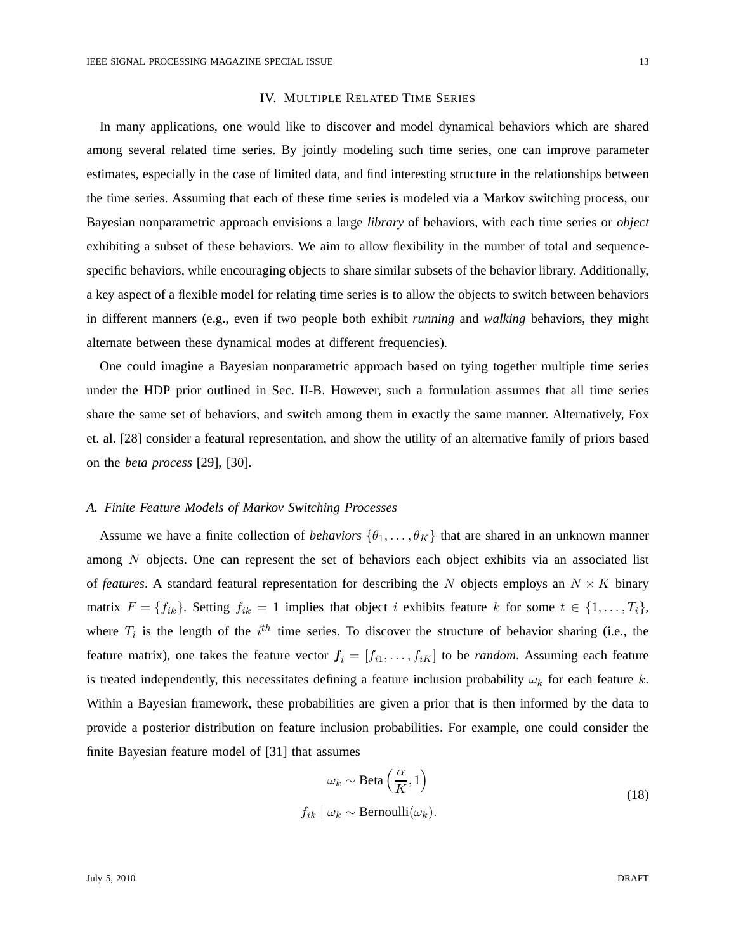# IV. MULTIPLE RELATED TIME SERIES

In many applications, one would like to discover and model dynamical behaviors which are shared among several related time series. By jointly modeling such time series, one can improve parameter estimates, especially in the case of limited data, and find interesting structure in the relationships between the time series. Assuming that each of these time series is modeled via a Markov switching process, our Bayesian nonparametric approach envisions a large *library* of behaviors, with each time series or *object* exhibiting a subset of these behaviors. We aim to allow flexibility in the number of total and sequencespecific behaviors, while encouraging objects to share similar subsets of the behavior library. Additionally, a key aspect of a flexible model for relating time series is to allow the objects to switch between behaviors in different manners (e.g., even if two people both exhibit *running* and *walking* behaviors, they might alternate between these dynamical modes at different frequencies).

One could imagine a Bayesian nonparametric approach based on tying together multiple time series under the HDP prior outlined in Sec. II-B. However, such a formulation assumes that all time series share the same set of behaviors, and switch among them in exactly the same manner. Alternatively, Fox et. al. [28] consider a featural representation, and show the utility of an alternative family of priors based on the *beta process* [29], [30].

# *A. Finite Feature Models of Markov Switching Processes*

Assume we have a finite collection of *behaviors*  $\{\theta_1, \dots, \theta_K\}$  that are shared in an unknown manner among N objects. One can represent the set of behaviors each object exhibits via an associated list of *features*. A standard featural representation for describing the N objects employs an  $N \times K$  binary matrix  $F = \{f_{ik}\}\$ . Setting  $f_{ik} = 1$  implies that object i exhibits feature k for some  $t \in \{1, \ldots, T_i\}$ , where  $T_i$  is the length of the  $i^{th}$  time series. To discover the structure of behavior sharing (i.e., the feature matrix), one takes the feature vector  $f_i = [f_{i1}, \ldots, f_{iK}]$  to be *random*. Assuming each feature is treated independently, this necessitates defining a feature inclusion probability  $\omega_k$  for each feature k. Within a Bayesian framework, these probabilities are given a prior that is then informed by the data to provide a posterior distribution on feature inclusion probabilities. For example, one could consider the finite Bayesian feature model of [31] that assumes

$$
\omega_k \sim \text{Beta}\left(\frac{\alpha}{K}, 1\right)
$$
  

$$
f_{ik} \mid \omega_k \sim \text{Bernoulli}(\omega_k).
$$
 (18)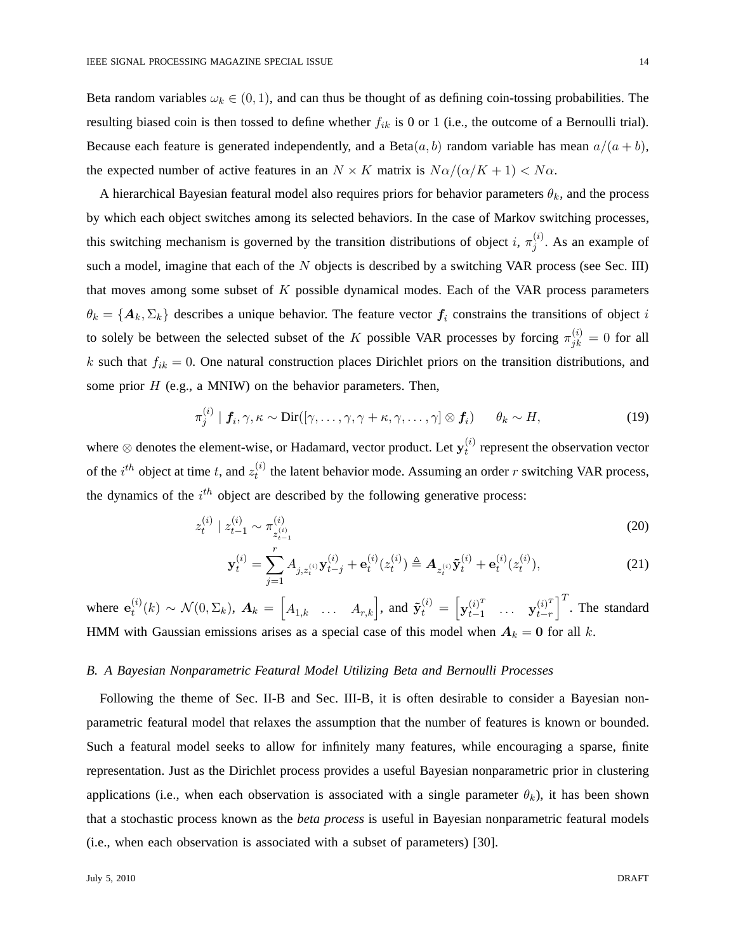Beta random variables  $\omega_k \in (0,1)$ , and can thus be thought of as defining coin-tossing probabilities. The resulting biased coin is then tossed to define whether  $f_{ik}$  is 0 or 1 (i.e., the outcome of a Bernoulli trial). Because each feature is generated independently, and a Beta $(a, b)$  random variable has mean  $a/(a + b)$ , the expected number of active features in an  $N \times K$  matrix is  $N\alpha/(\alpha/K + 1) < N\alpha$ .

A hierarchical Bayesian featural model also requires priors for behavior parameters  $\theta_k$ , and the process by which each object switches among its selected behaviors. In the case of Markov switching processes, this switching mechanism is governed by the transition distributions of object i,  $\pi_i^{(i)}$  $j^{(i)}$ . As an example of such a model, imagine that each of the  $N$  objects is described by a switching VAR process (see Sec. III) that moves among some subset of  $K$  possible dynamical modes. Each of the VAR process parameters  $\theta_k = \{A_k, \Sigma_k\}$  describes a unique behavior. The feature vector  $f_i$  constrains the transitions of object i to solely be between the selected subset of the K possible VAR processes by forcing  $\pi_{jk}^{(i)} = 0$  for all k such that  $f_{ik} = 0$ . One natural construction places Dirichlet priors on the transition distributions, and some prior  $H$  (e.g., a MNIW) on the behavior parameters. Then,

$$
\pi_j^{(i)} \mid \mathbf{f}_i, \gamma, \kappa \sim \text{Dir}([\gamma, \dots, \gamma, \gamma + \kappa, \gamma, \dots, \gamma] \otimes \mathbf{f}_i) \qquad \theta_k \sim H,\tag{19}
$$

where ⊗ denotes the element-wise, or Hadamard, vector product. Let  $\mathbf{y}_t^{(i)}$  $t^{(i)}$  represent the observation vector of the  $i^{th}$  object at time t, and  $z_t^{(i)}$  $t_t^{(t)}$  the latent behavior mode. Assuming an order r switching VAR process, the dynamics of the  $i^{th}$  object are described by the following generative process:

$$
z_t^{(i)} \mid z_{t-1}^{(i)} \sim \pi_{z_{t-1}^{(i)}}^{(i)} \tag{20}
$$

$$
\mathbf{y}_{t}^{(i)} = \sum_{j=1}^{r} A_{j,z_{t}^{(i)}} \mathbf{y}_{t-j}^{(i)} + \mathbf{e}_{t}^{(i)}(z_{t}^{(i)}) \triangleq \mathbf{A}_{z_{t}^{(i)}} \tilde{\mathbf{y}}_{t}^{(i)} + \mathbf{e}_{t}^{(i)}(z_{t}^{(i)}),
$$
(21)

where  $e_t^{(i)}$  $\mathcal{L}_t^{(i)}(k) \sim \mathcal{N}(0, \Sigma_k)$ ,  $\boldsymbol{A}_k = \begin{bmatrix} A_{1,k} & \dots & A_{r,k} \end{bmatrix}$ , and  $\tilde{\mathbf{y}}_t^{(i)} = \begin{bmatrix} \mathbf{y}_{t-1}^{(i)^T} \end{bmatrix}$  $\begin{array}{ccc} (i)^T & \ldots & \mathbf{y}_{t-r}^{(i)^T} \end{array}$  $\binom{i}{t-r}^T$ . The standard HMM with Gaussian emissions arises as a special case of this model when  $A_k = 0$  for all k.

## *B. A Bayesian Nonparametric Featural Model Utilizing Beta and Bernoulli Processes*

Following the theme of Sec. II-B and Sec. III-B, it is often desirable to consider a Bayesian nonparametric featural model that relaxes the assumption that the number of features is known or bounded. Such a featural model seeks to allow for infinitely many features, while encouraging a sparse, finite representation. Just as the Dirichlet process provides a useful Bayesian nonparametric prior in clustering applications (i.e., when each observation is associated with a single parameter  $\theta_k$ ), it has been shown that a stochastic process known as the *beta process* is useful in Bayesian nonparametric featural models (i.e., when each observation is associated with a subset of parameters) [30].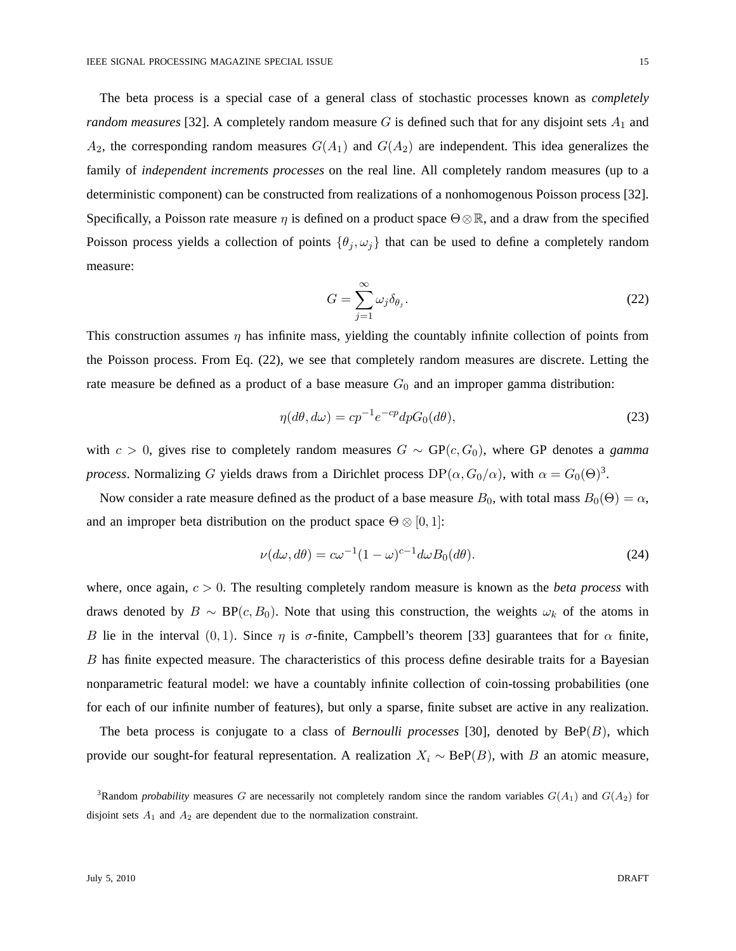The beta process is a special case of a general class of stochastic processes known as *completely random measures* [32]. A completely random measure  $G$  is defined such that for any disjoint sets  $A_1$  and  $A_2$ , the corresponding random measures  $G(A_1)$  and  $G(A_2)$  are independent. This idea generalizes the family of *independent increments processes* on the real line. All completely random measures (up to a deterministic component) can be constructed from realizations of a nonhomogenous Poisson process [32]. Specifically, a Poisson rate measure  $\eta$  is defined on a product space  $\Theta \otimes \mathbb{R}$ , and a draw from the specified Poisson process yields a collection of points  $\{\theta_j, \omega_j\}$  that can be used to define a completely random measure:

$$
G = \sum_{j=1}^{\infty} \omega_j \delta_{\theta_j}.
$$
 (22)

This construction assumes  $\eta$  has infinite mass, yielding the countably infinite collection of points from the Poisson process. From Eq. (22), we see that completely random measures are discrete. Letting the rate measure be defined as a product of a base measure  $G_0$  and an improper gamma distribution:

$$
\eta(d\theta, d\omega) = cp^{-1}e^{-cp}dpG_0(d\theta),\tag{23}
$$

with  $c > 0$ , gives rise to completely random measures  $G \sim GP(c, G_0)$ , where GP denotes a *gamma process*. Normalizing G yields draws from a Dirichlet process  $DP(\alpha, G_0/\alpha)$ , with  $\alpha = G_0(\Theta)^3$ .

Now consider a rate measure defined as the product of a base measure  $B_0$ , with total mass  $B_0(\Theta) = \alpha$ , and an improper beta distribution on the product space  $\Theta \otimes [0, 1]$ :

$$
\nu(d\omega, d\theta) = c\omega^{-1}(1-\omega)^{c-1}d\omega B_0(d\theta).
$$
\n(24)

where, once again,  $c > 0$ . The resulting completely random measure is known as the *beta process* with draws denoted by  $B \sim BP(c, B_0)$ . Note that using this construction, the weights  $\omega_k$  of the atoms in B lie in the interval  $(0, 1)$ . Since  $\eta$  is  $\sigma$ -finite, Campbell's theorem [33] guarantees that for  $\alpha$  finite, B has finite expected measure. The characteristics of this process define desirable traits for a Bayesian nonparametric featural model: we have a countably infinite collection of coin-tossing probabilities (one for each of our infinite number of features), but only a sparse, finite subset are active in any realization.

The beta process is conjugate to a class of *Bernoulli processes* [30], denoted by  $BeP(B)$ , which provide our sought-for featural representation. A realization  $X_i \sim \text{BeP}(B)$ , with B an atomic measure,

<sup>&</sup>lt;sup>3</sup>Random *probability* measures G are necessarily not completely random since the random variables  $G(A_1)$  and  $G(A_2)$  for disjoint sets  $A_1$  and  $A_2$  are dependent due to the normalization constraint.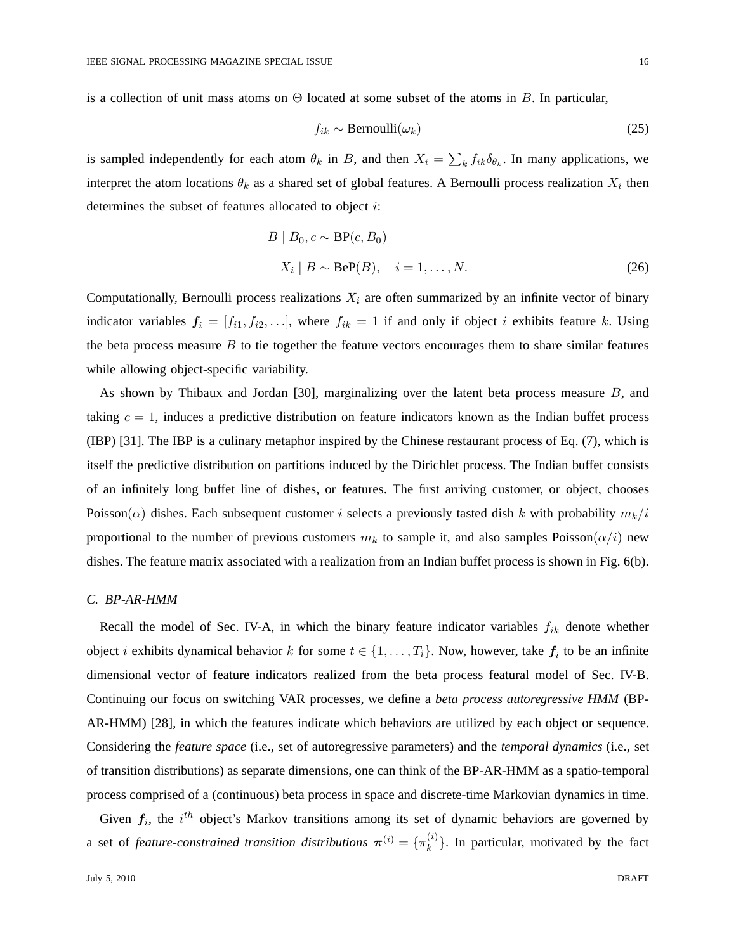is a collection of unit mass atoms on  $\Theta$  located at some subset of the atoms in B. In particular,

$$
f_{ik} \sim \text{Bernoulli}(\omega_k) \tag{25}
$$

is sampled independently for each atom  $\theta_k$  in B, and then  $X_i = \sum_k f_{ik} \delta_{\theta_k}$ . In many applications, we interpret the atom locations  $\theta_k$  as a shared set of global features. A Bernoulli process realization  $X_i$  then determines the subset of features allocated to object i:

$$
B | B_0, c \sim \text{BP}(c, B_0)
$$
  

$$
X_i | B \sim \text{BeP}(B), \quad i = 1, ..., N.
$$
 (26)

Computationally, Bernoulli process realizations  $X_i$  are often summarized by an infinite vector of binary indicator variables  $f_i = [f_{i1}, f_{i2}, \ldots]$ , where  $f_{ik} = 1$  if and only if object i exhibits feature k. Using the beta process measure  $B$  to tie together the feature vectors encourages them to share similar features while allowing object-specific variability.

As shown by Thibaux and Jordan [30], marginalizing over the latent beta process measure B, and taking  $c = 1$ , induces a predictive distribution on feature indicators known as the Indian buffet process (IBP) [31]. The IBP is a culinary metaphor inspired by the Chinese restaurant process of Eq. (7), which is itself the predictive distribution on partitions induced by the Dirichlet process. The Indian buffet consists of an infinitely long buffet line of dishes, or features. The first arriving customer, or object, chooses Poisson( $\alpha$ ) dishes. Each subsequent customer i selects a previously tasted dish k with probability  $m_k/i$ proportional to the number of previous customers  $m_k$  to sample it, and also samples Poisson( $\alpha/i$ ) new dishes. The feature matrix associated with a realization from an Indian buffet process is shown in Fig. 6(b).

## *C. BP-AR-HMM*

Recall the model of Sec. IV-A, in which the binary feature indicator variables  $f_{ik}$  denote whether object *i* exhibits dynamical behavior *k* for some  $t \in \{1, ..., T_i\}$ . Now, however, take  $f_i$  to be an infinite dimensional vector of feature indicators realized from the beta process featural model of Sec. IV-B. Continuing our focus on switching VAR processes, we define a *beta process autoregressive HMM* (BP-AR-HMM) [28], in which the features indicate which behaviors are utilized by each object or sequence. Considering the *feature space* (i.e., set of autoregressive parameters) and the *temporal dynamics* (i.e., set of transition distributions) as separate dimensions, one can think of the BP-AR-HMM as a spatio-temporal process comprised of a (continuous) beta process in space and discrete-time Markovian dynamics in time.

Given  $f_i$ , the  $i^{th}$  object's Markov transitions among its set of dynamic behaviors are governed by a set of *feature-constrained transition distributions*  $\boldsymbol{\pi}^{(i)} = \{\pi_k^{(i)}\}$  $\binom{v}{k}$ . In particular, motivated by the fact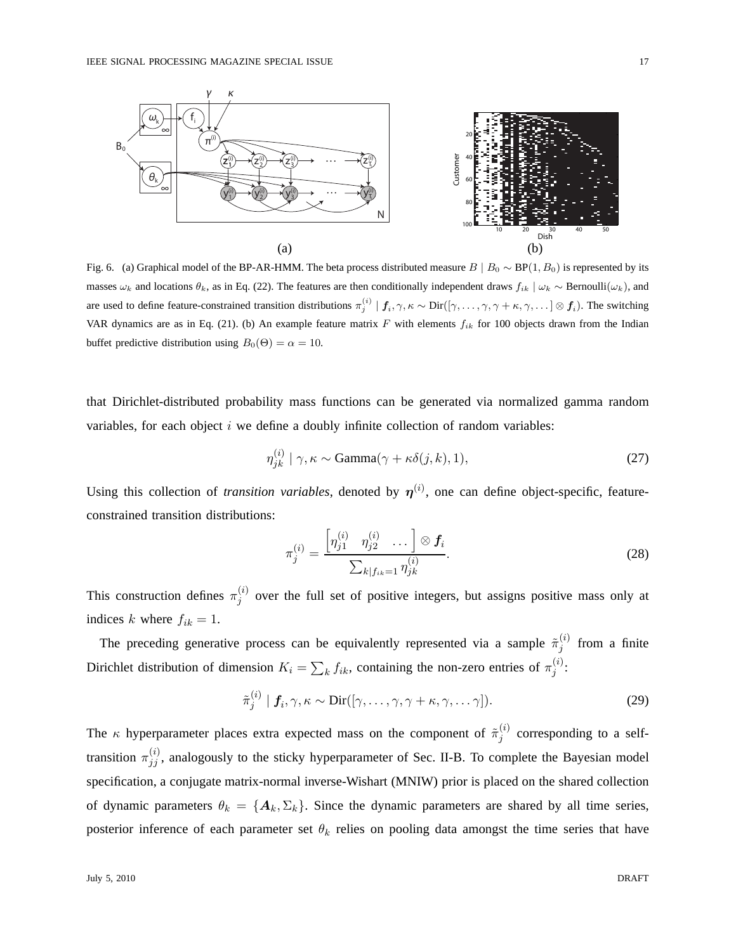

Fig. 6. (a) Graphical model of the BP-AR-HMM. The beta process distributed measure  $B \mid B_0 \sim BP(1, B_0)$  is represented by its masses  $\omega_k$  and locations  $\theta_k$ , as in Eq. (22). The features are then conditionally independent draws  $f_{ik} | \omega_k \sim \text{Bernoulli}(\omega_k)$ , and are used to define feature-constrained transition distributions  $\pi_j^{(i)} \mid f_i, \gamma, \kappa \sim \text{Dir}([\gamma, \dots, \gamma, \gamma + \kappa, \gamma, \dots] \otimes f_i)$ . The switching VAR dynamics are as in Eq. (21). (b) An example feature matrix  $F$  with elements  $f_{ik}$  for 100 objects drawn from the Indian buffet predictive distribution using  $B_0(\Theta) = \alpha = 10$ .

that Dirichlet-distributed probability mass functions can be generated via normalized gamma random variables, for each object  $i$  we define a doubly infinite collection of random variables:

$$
\eta_{jk}^{(i)} \mid \gamma, \kappa \sim \text{Gamma}(\gamma + \kappa \delta(j, k), 1), \tag{27}
$$

Using this collection of *transition variables*, denoted by  $\eta^{(i)}$ , one can define object-specific, featureconstrained transition distributions:

$$
\pi_j^{(i)} = \frac{\left[\eta_{j1}^{(i)} \quad \eta_{j2}^{(i)} \quad \dots \right] \otimes f_i}{\sum_{k|f_{ik}=1} \eta_{jk}^{(i)}}.
$$
\n(28)

This construction defines  $\pi_i^{(i)}$  $j^{(t)}$  over the full set of positive integers, but assigns positive mass only at indices k where  $f_{ik} = 1$ .

The preceding generative process can be equivalently represented via a sample  $\tilde{\pi}_i^{(i)}$  $j^{(i)}$  from a finite Dirichlet distribution of dimension  $K_i = \sum_k f_{ik}$ , containing the non-zero entries of  $\pi_j^{(i)}$  $\stackrel{(i)}{j}$ :

$$
\tilde{\pi}_j^{(i)} \mid \mathbf{f}_i, \gamma, \kappa \sim \text{Dir}([\gamma, \dots, \gamma, \gamma + \kappa, \gamma, \dots \gamma]). \tag{29}
$$

The  $\kappa$  hyperparameter places extra expected mass on the component of  $\tilde{\pi}_i^{(i)}$  $j^{(i)}$  corresponding to a selftransition  $\pi_{jj}^{(i)}$ , analogously to the sticky hyperparameter of Sec. II-B. To complete the Bayesian model specification, a conjugate matrix-normal inverse-Wishart (MNIW) prior is placed on the shared collection of dynamic parameters  $\theta_k = \{A_k, \Sigma_k\}$ . Since the dynamic parameters are shared by all time series, posterior inference of each parameter set  $\theta_k$  relies on pooling data amongst the time series that have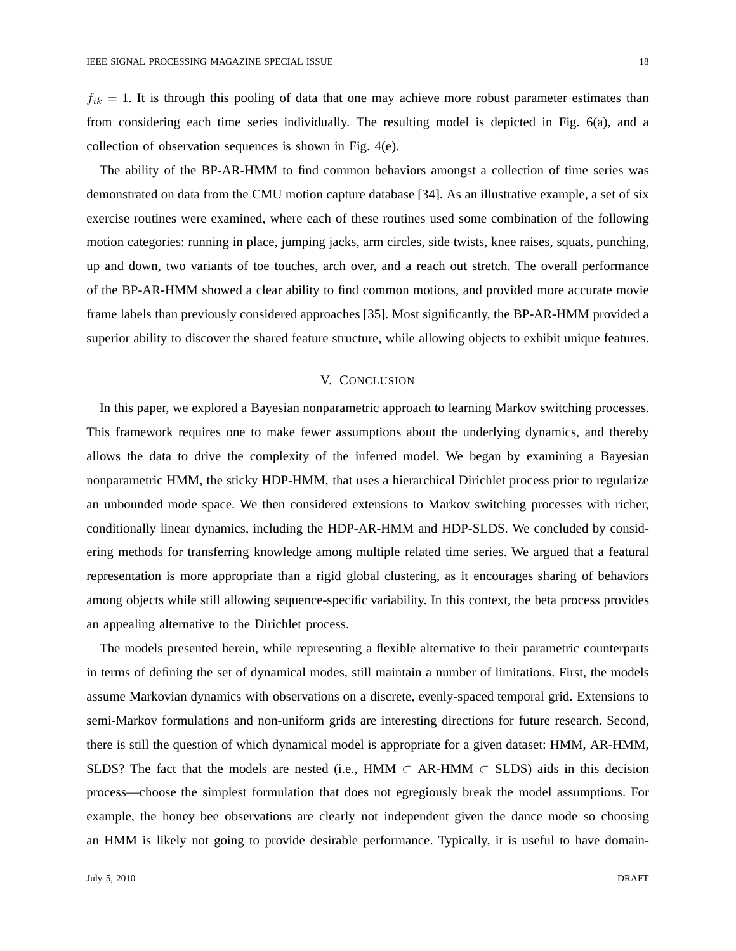$f_{ik} = 1$ . It is through this pooling of data that one may achieve more robust parameter estimates than from considering each time series individually. The resulting model is depicted in Fig. 6(a), and a collection of observation sequences is shown in Fig. 4(e).

The ability of the BP-AR-HMM to find common behaviors amongst a collection of time series was demonstrated on data from the CMU motion capture database [34]. As an illustrative example, a set of six exercise routines were examined, where each of these routines used some combination of the following motion categories: running in place, jumping jacks, arm circles, side twists, knee raises, squats, punching, up and down, two variants of toe touches, arch over, and a reach out stretch. The overall performance of the BP-AR-HMM showed a clear ability to find common motions, and provided more accurate movie frame labels than previously considered approaches [35]. Most significantly, the BP-AR-HMM provided a superior ability to discover the shared feature structure, while allowing objects to exhibit unique features.

# V. CONCLUSION

In this paper, we explored a Bayesian nonparametric approach to learning Markov switching processes. This framework requires one to make fewer assumptions about the underlying dynamics, and thereby allows the data to drive the complexity of the inferred model. We began by examining a Bayesian nonparametric HMM, the sticky HDP-HMM, that uses a hierarchical Dirichlet process prior to regularize an unbounded mode space. We then considered extensions to Markov switching processes with richer, conditionally linear dynamics, including the HDP-AR-HMM and HDP-SLDS. We concluded by considering methods for transferring knowledge among multiple related time series. We argued that a featural representation is more appropriate than a rigid global clustering, as it encourages sharing of behaviors among objects while still allowing sequence-specific variability. In this context, the beta process provides an appealing alternative to the Dirichlet process.

The models presented herein, while representing a flexible alternative to their parametric counterparts in terms of defining the set of dynamical modes, still maintain a number of limitations. First, the models assume Markovian dynamics with observations on a discrete, evenly-spaced temporal grid. Extensions to semi-Markov formulations and non-uniform grids are interesting directions for future research. Second, there is still the question of which dynamical model is appropriate for a given dataset: HMM, AR-HMM, SLDS? The fact that the models are nested (i.e., HMM  $\subset$  AR-HMM  $\subset$  SLDS) aids in this decision process—choose the simplest formulation that does not egregiously break the model assumptions. For example, the honey bee observations are clearly not independent given the dance mode so choosing an HMM is likely not going to provide desirable performance. Typically, it is useful to have domain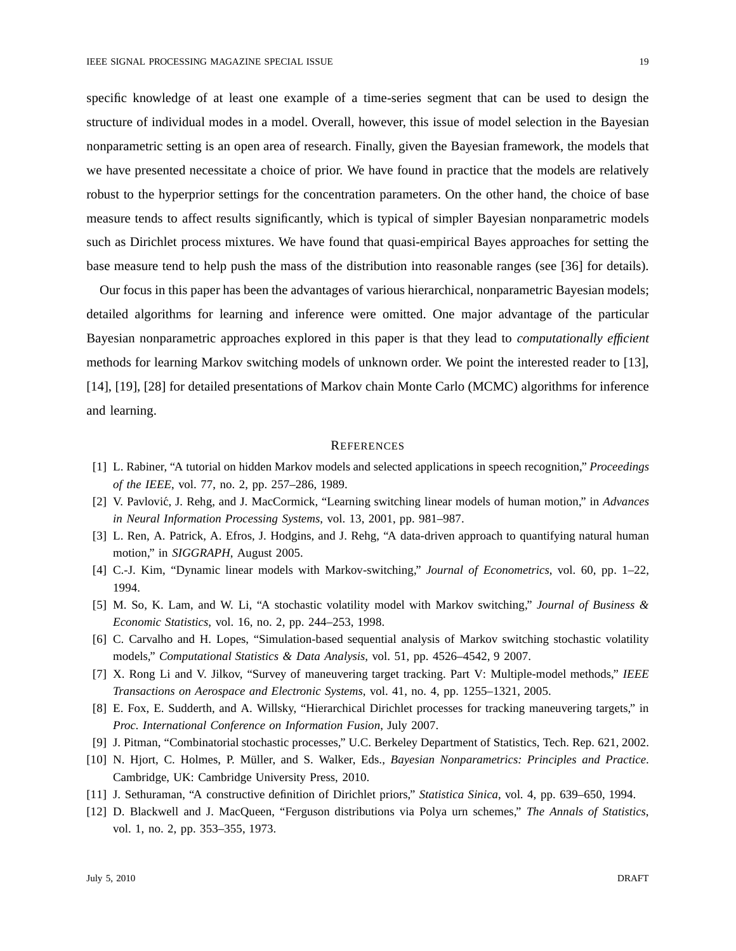specific knowledge of at least one example of a time-series segment that can be used to design the structure of individual modes in a model. Overall, however, this issue of model selection in the Bayesian nonparametric setting is an open area of research. Finally, given the Bayesian framework, the models that we have presented necessitate a choice of prior. We have found in practice that the models are relatively robust to the hyperprior settings for the concentration parameters. On the other hand, the choice of base measure tends to affect results significantly, which is typical of simpler Bayesian nonparametric models such as Dirichlet process mixtures. We have found that quasi-empirical Bayes approaches for setting the base measure tend to help push the mass of the distribution into reasonable ranges (see [36] for details).

Our focus in this paper has been the advantages of various hierarchical, nonparametric Bayesian models; detailed algorithms for learning and inference were omitted. One major advantage of the particular Bayesian nonparametric approaches explored in this paper is that they lead to *computationally efficient* methods for learning Markov switching models of unknown order. We point the interested reader to [13], [14], [19], [28] for detailed presentations of Markov chain Monte Carlo (MCMC) algorithms for inference and learning.

## **REFERENCES**

- [1] L. Rabiner, "A tutorial on hidden Markov models and selected applications in speech recognition," *Proceedings of the IEEE*, vol. 77, no. 2, pp. 257–286, 1989.
- [2] V. Pavlovi´c, J. Rehg, and J. MacCormick, "Learning switching linear models of human motion," in *Advances in Neural Information Processing Systems*, vol. 13, 2001, pp. 981–987.
- [3] L. Ren, A. Patrick, A. Efros, J. Hodgins, and J. Rehg, "A data-driven approach to quantifying natural human motion," in *SIGGRAPH*, August 2005.
- [4] C.-J. Kim, "Dynamic linear models with Markov-switching," *Journal of Econometrics*, vol. 60, pp. 1–22, 1994.
- [5] M. So, K. Lam, and W. Li, "A stochastic volatility model with Markov switching," *Journal of Business & Economic Statistics*, vol. 16, no. 2, pp. 244–253, 1998.
- [6] C. Carvalho and H. Lopes, "Simulation-based sequential analysis of Markov switching stochastic volatility models," *Computational Statistics & Data Analysis*, vol. 51, pp. 4526–4542, 9 2007.
- [7] X. Rong Li and V. Jilkov, "Survey of maneuvering target tracking. Part V: Multiple-model methods," *IEEE Transactions on Aerospace and Electronic Systems*, vol. 41, no. 4, pp. 1255–1321, 2005.
- [8] E. Fox, E. Sudderth, and A. Willsky, "Hierarchical Dirichlet processes for tracking maneuvering targets," in *Proc. International Conference on Information Fusion*, July 2007.
- [9] J. Pitman, "Combinatorial stochastic processes," U.C. Berkeley Department of Statistics, Tech. Rep. 621, 2002.
- [10] N. Hjort, C. Holmes, P. M¨uller, and S. Walker, Eds., *Bayesian Nonparametrics: Principles and Practice*. Cambridge, UK: Cambridge University Press, 2010.
- [11] J. Sethuraman, "A constructive definition of Dirichlet priors," *Statistica Sinica*, vol. 4, pp. 639–650, 1994.
- [12] D. Blackwell and J. MacQueen, "Ferguson distributions via Polya urn schemes," *The Annals of Statistics*, vol. 1, no. 2, pp. 353–355, 1973.